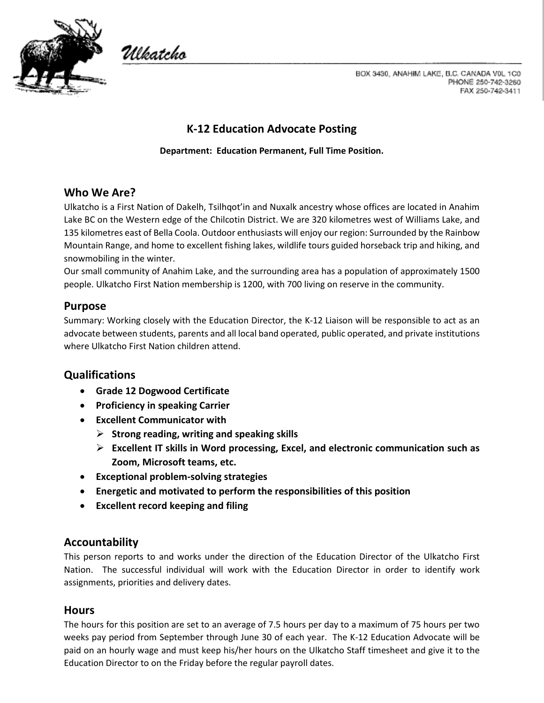

Wkatcho

BOX 3430, ANAHIM LAKE, B.C. CANADA V0L 1C0 PHONE 250-742-3260 FAX 250-742-3411

# **K-12 Education Advocate Posting**

#### **Department: Education Permanent, Full Time Position.**

### **Who We Are?**

Ulkatcho is a First Nation of Dakelh, Tsilhqot'in and Nuxalk ancestry whose offices are located in Anahim Lake BC on the Western edge of the Chilcotin District. We are 320 kilometres west of Williams Lake, and 135 kilometres east of Bella Coola. Outdoor enthusiasts will enjoy our region: Surrounded by the Rainbow Mountain Range, and home to excellent fishing lakes, wildlife tours guided horseback trip and hiking, and snowmobiling in the winter.

Our small community of Anahim Lake, and the surrounding area has a population of approximately 1500 people. Ulkatcho First Nation membership is 1200, with 700 living on reserve in the community.

#### **Purpose**

Summary: Working closely with the Education Director, the K-12 Liaison will be responsible to act as an advocate between students, parents and all local band operated, public operated, and private institutions where Ulkatcho First Nation children attend.

### **Qualifications**

- **Grade 12 Dogwood Certificate**
- **Proficiency in speaking Carrier**
- **Excellent Communicator with**
	- **Strong reading, writing and speaking skills**
	- **Excellent IT skills in Word processing, Excel, and electronic communication such as Zoom, Microsoft teams, etc.**
- **Exceptional problem-solving strategies**
- **Energetic and motivated to perform the responsibilities of this position**
- **Excellent record keeping and filing**

#### **Accountability**

This person reports to and works under the direction of the Education Director of the Ulkatcho First Nation. The successful individual will work with the Education Director in order to identify work assignments, priorities and delivery dates.

#### **Hours**

The hours for this position are set to an average of 7.5 hours per day to a maximum of 75 hours per two weeks pay period from September through June 30 of each year. The K-12 Education Advocate will be paid on an hourly wage and must keep his/her hours on the Ulkatcho Staff timesheet and give it to the Education Director to on the Friday before the regular payroll dates.